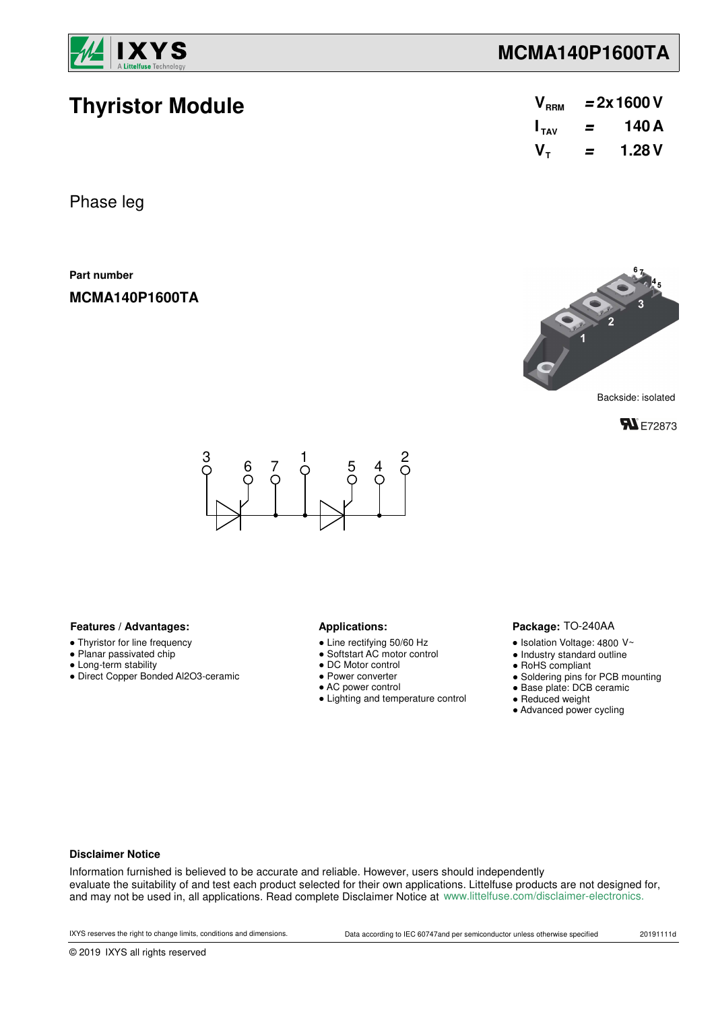

**Thyristor Module**

### **MCMA140P1600TA**

| V <sub>RRM</sub> | $= 2x 1600 V$ |       |  |  |  |
|------------------|---------------|-------|--|--|--|
| $I_{TAV}$        | =             | 140 A |  |  |  |
| V-               | =             | 1.28V |  |  |  |

Phase leg

**Part number**

**MCMA140P1600TA**



**FN** E72873



#### Features / Advantages: **All Applications: Applications:**

- Thyristor for line frequency
- Planar passivated chip
- Long-term stability
- Direct Copper Bonded Al2O3-ceramic

- Line rectifying 50/60 Hz
- Softstart AC motor control
- DC Motor control
- Power converter
- AC power control
- Lighting and temperature control

#### Package: TO-240AA

- $\bullet$  Isolation Voltage: 4800 V~
- Industry standard outline
- RoHS compliant
- Soldering pins for PCB mounting
- Base plate: DCB ceramic
- Reduced weight
- Advanced power cycling

#### **Disclaimer Notice**

Information furnished is believed to be accurate and reliable. However, users should independently evaluate the suitability of and test each product selected for their own applications. Littelfuse products are not designed for, and may not be used in, all applications. Read complete Disclaimer Notice at www.littelfuse.com/disclaimer-electronics.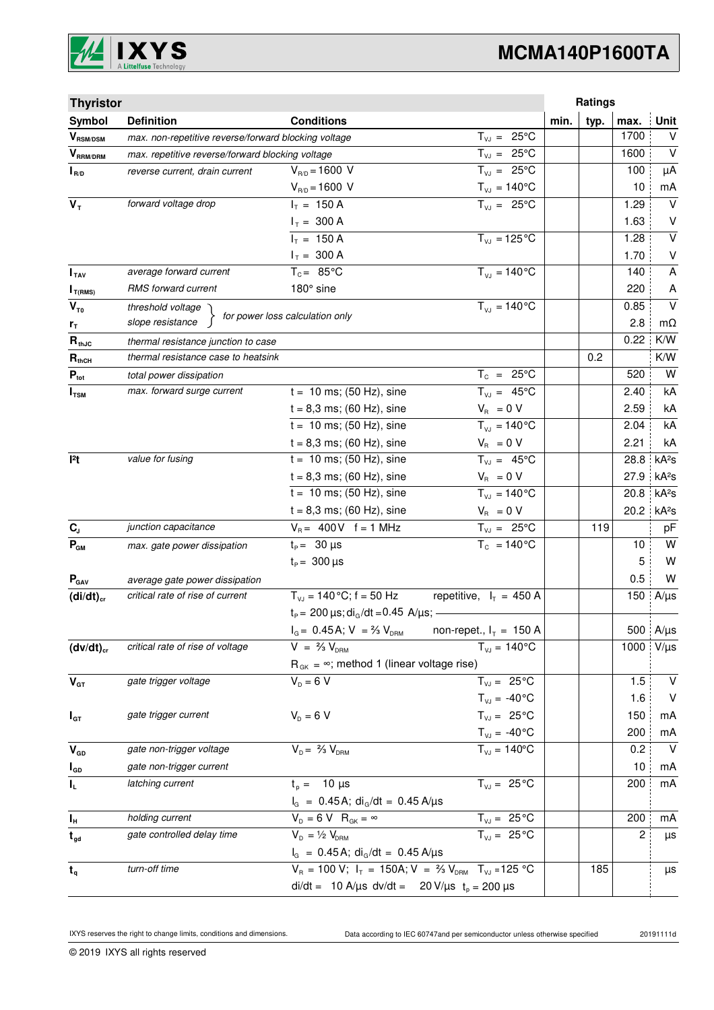

# **MCMA140P1600TA**

| <b>Thyristor</b>                        |                                                      |                                                                             |                                | Ratings |      |      |                   |
|-----------------------------------------|------------------------------------------------------|-----------------------------------------------------------------------------|--------------------------------|---------|------|------|-------------------|
| Symbol                                  | <b>Definition</b>                                    | <b>Conditions</b>                                                           |                                | min.    | typ. | max. | Unit              |
| $\bm{V}_{\text{RSM/DSM}}$               | max. non-repetitive reverse/forward blocking voltage |                                                                             | $T_{VJ} = 25^{\circ}C$         |         |      | 1700 | V                 |
| $V_{\scriptscriptstyle \text{RRM/DRM}}$ | max. repetitive reverse/forward blocking voltage     |                                                                             | $T_{VJ} = 25^{\circ}C$         |         |      | 1600 | $\vee$            |
| $I_{R/D}$                               | reverse current, drain current                       | $V_{R/D} = 1600 V$                                                          | $T_{VJ} = 25^{\circ}C$         |         |      | 100  | μA                |
|                                         |                                                      | $V_{R/D} = 1600 V$                                                          | $T_{\nu J} = 140^{\circ}C$     |         |      | 10   | mA                |
| $V_T$                                   | forward voltage drop                                 | $I_T = 150 A$                                                               | $T_{VJ} = 25^{\circ}C$         |         |      | 1.29 | $\vee$            |
|                                         |                                                      | $I_T = 300 A$                                                               |                                |         |      | 1.63 | V                 |
|                                         |                                                      | $I_T = 150 A$                                                               | $\overline{T_{VJ}}$ = 125 °C   |         |      | 1.28 | $\overline{V}$    |
|                                         |                                                      | $I_T = 300 A$                                                               |                                |         |      | 1.70 | V                 |
| $I_{\text{TAV}}$                        | average forward current                              | $T_c = 85^{\circ}$ C                                                        | $T_{V1} = 140^{\circ}C$        |         |      | 140  | A                 |
| $I_{T(RMS)}$                            | RMS forward current                                  | 180° sine                                                                   |                                |         |      | 220  | A                 |
| $V_{T0}$                                | threshold voltage                                    | for power loss calculation only                                             | $T_{V,I} = 140^{\circ}C$       |         |      | 0.85 | $\vee$            |
| $r_{\tau}$                              | slope resistance                                     |                                                                             |                                |         |      | 2.8  | $m\Omega$         |
| $R_{thJC}$                              | thermal resistance junction to case                  |                                                                             |                                |         |      | 0.22 | K/W               |
| $R_{thCH}$                              | thermal resistance case to heatsink                  |                                                                             |                                |         | 0.2  |      | K/W               |
| $P_{\text{tot}}$                        | total power dissipation                              |                                                                             | $T_c = 25^{\circ}C$            |         |      | 520  | W                 |
| $I_{TSM}$                               | max. forward surge current                           | $t = 10$ ms; (50 Hz), sine                                                  | $T_{VJ} = 45^{\circ}C$         |         |      | 2.40 | kA                |
|                                         |                                                      | $t = 8,3$ ms; (60 Hz), sine                                                 | $V_R = 0 V$                    |         |      | 2.59 | kA                |
|                                         |                                                      | $t = 10$ ms; (50 Hz), sine                                                  | $T_{V,1} = 140^{\circ}C$       |         |      | 2.04 | kA                |
|                                         |                                                      | $t = 8,3$ ms; (60 Hz), sine                                                 | $V_R = 0 V$                    |         |      | 2.21 | kA                |
| 12t                                     | value for fusing                                     | $t = 10$ ms; (50 Hz), sine                                                  | $T_{VJ} = 45^{\circ}C$         |         |      | 28.8 | kA <sup>2</sup> S |
|                                         |                                                      | $t = 8,3$ ms; (60 Hz), sine                                                 | $V_{\rm R} = 0 V$              |         |      | 27.9 | kA <sup>2</sup> s |
|                                         |                                                      | $t = 10$ ms; (50 Hz), sine                                                  | $T_{VJ} = 140^{\circ}C$        |         |      | 20.8 | kA <sup>2</sup> S |
|                                         |                                                      | $t = 8,3$ ms; (60 Hz), sine                                                 | $V_{\rm R} = 0 V$              |         |      | 20.2 | kA <sup>2</sup> s |
| $C_{J}$                                 | junction capacitance                                 | $V_B = 400V$ f = 1 MHz                                                      | $T_{VJ} = 25^{\circ}C$         |         | 119  |      | pF                |
| $P_{GM}$                                | max. gate power dissipation                          | $t_P = 30 \mu s$                                                            | $T_c = 140^{\circ}$ C          |         |      | 10   | W                 |
|                                         |                                                      | $t_{\rm p} = 300 \,\mu s$                                                   |                                |         |      | 5    | W                 |
| $P_{\text{GAV}}$                        | average gate power dissipation                       |                                                                             |                                |         |      | 0.5  | W                 |
| $(di/dt)_{cr}$                          | critical rate of rise of current                     | $T_{V,I}$ = 140 °C; f = 50 Hz                                               | repetitive, $I_T = 450$ A      |         |      | 150  | $A/\mu s$         |
|                                         |                                                      | $t_P = 200 \,\mu s$ ; di <sub>o</sub> /dt = 0.45 A/ $\mu s$ ; -             |                                |         |      |      |                   |
|                                         |                                                      | $I_G = 0.45$ A; $V = \frac{2}{3} V_{DRM}$ non-repet., $I_T = 150$ A         |                                |         |      |      | 500 $A/\mu s$     |
| $(dv/dt)_{cr}$                          | critical rate of rise of voltage                     | $V = \frac{2}{3} V_{DRM}$                                                   | $T_{VJ} = 140^{\circ}C$        |         |      |      | 1000 $V/\mu s$    |
|                                         |                                                      | $R_{gK} = \infty$ ; method 1 (linear voltage rise)                          |                                |         |      |      |                   |
| $V_{GT}$                                | gate trigger voltage                                 | $V_D = 6 V$                                                                 | $T_{VJ} = 25^{\circ}C$         |         |      | 1.5  | V                 |
|                                         |                                                      |                                                                             | $T_{\text{VJ}} = -40^{\circ}C$ |         |      | 1.6  | $\vee$            |
| $I_{GT}$                                | gate trigger current                                 | $V_{D} = 6 V$                                                               | $T_{VJ} = 25^{\circ}C$         |         |      | 150  | mA                |
|                                         |                                                      |                                                                             | $T_{\nu J} = -40\degree C$     |         |      | 200  | mA                |
| $V_{GD}$                                | gate non-trigger voltage                             | $V_{D} = \frac{2}{3} V_{DBM}$                                               | $T_{V,I} = 140^{\circ}C$       |         |      | 0.2  | $\mathsf{V}$      |
| $I_{GD}$                                | gate non-trigger current                             |                                                                             |                                |         |      | 10   | mA                |
| $\mathbf{l}_\mathsf{L}$                 | latching current                                     | $t_{p} = 10 \mu s$                                                          | $T_{VJ} = 25^{\circ}C$         |         |      | 200  | mA                |
|                                         |                                                      | $I_G = 0.45 A$ ; di <sub>G</sub> /dt = 0.45 A/µs                            |                                |         |      |      |                   |
| $I_H$                                   | holding current                                      | $V_D = 6 V R_{GK} = \infty$                                                 | $T_{VJ} = 25 \degree C$        |         |      | 200  | mA                |
| $t_{gd}$                                | gate controlled delay time                           | $V_{D} = \frac{1}{2} V_{DBM}$                                               | $T_{VJ} = 25^{\circ}C$         |         |      | 2    | μs                |
|                                         |                                                      | $I_G = 0.45 A$ ; di <sub>G</sub> /dt = 0.45 A/µs                            |                                |         |      |      |                   |
| $t_q$                                   | turn-off time                                        | $V_R = 100 V; I_T = 150A; V = \frac{2}{3} V_{DRM}$ T <sub>VJ</sub> = 125 °C |                                |         | 185  |      | μs                |
|                                         |                                                      | di/dt = 10 A/µs dv/dt = 20 V/µs $t_p = 200 \mu s$                           |                                |         |      |      |                   |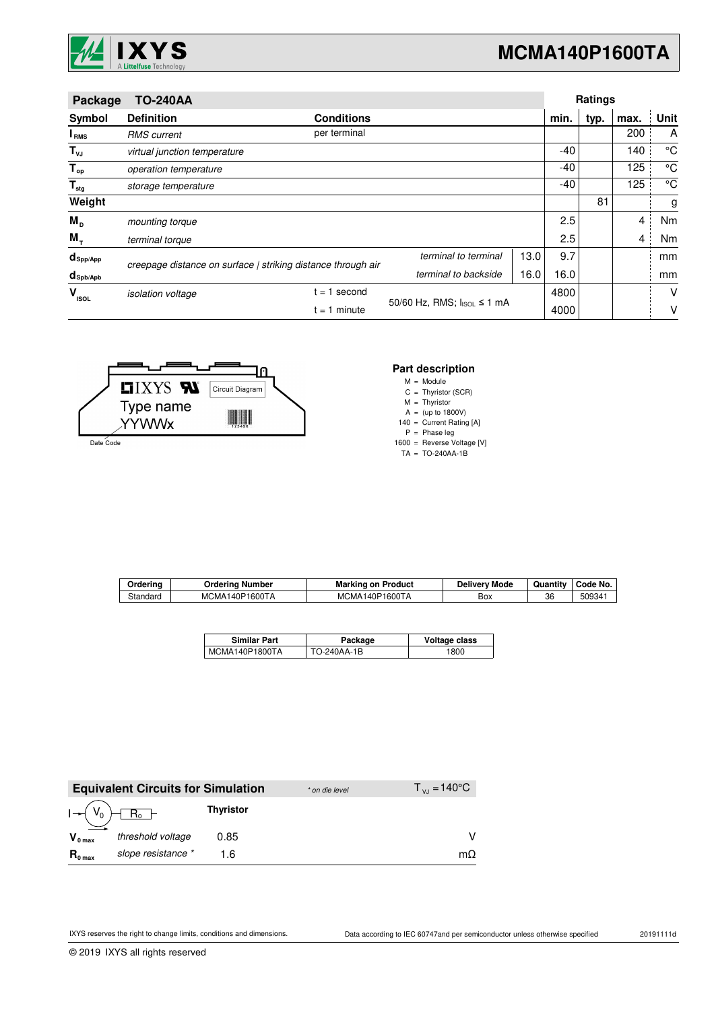

| <b>TO-240AA</b><br>Package      |                                                              |                   |                            |      | Ratings |      |      |      |
|---------------------------------|--------------------------------------------------------------|-------------------|----------------------------|------|---------|------|------|------|
| Symbol                          | <b>Definition</b>                                            | <b>Conditions</b> |                            |      | min.    | typ. | max. | Unit |
| I <sub>RMS</sub>                | <b>RMS</b> current                                           | per terminal      |                            |      |         |      | 200  | A    |
| $T_{\nu J}$                     | virtual junction temperature                                 |                   |                            |      | $-40$   |      | 140  | °C   |
| $T_{op}$                        | operation temperature                                        |                   |                            |      | $-40$   |      | 125  | °C   |
| $\mathsf{T}_{\sf{stg}}$         | storage temperature                                          |                   |                            |      | $-40$   |      | 125  | °C   |
| Weight                          |                                                              |                   |                            |      |         | 81   |      | g    |
| $M_{\text{D}}$                  | mounting torque                                              |                   |                            |      | 2.5     |      | 4    | Nm   |
| $M_{\tau}$                      | terminal torque                                              |                   |                            |      | 2.5     |      | 4    | Nm   |
| $d_{\mathsf{Spp/App}}$          | creepage distance on surface   striking distance through air |                   | terminal to terminal       | 13.0 | 9.7     |      |      | mm   |
| $d_{\mathsf{Spb}/\mathsf{Apb}}$ |                                                              |                   | terminal to backside       | 16.0 | 16.0    |      |      | mm   |
| $\mathbf{V}_{_{\textrm{ISOL}}}$ | <i>isolation</i> voltage                                     | $= 1$ second      |                            |      | 4800    |      |      | V    |
|                                 |                                                              | $t = 1$ minute    | 50/60 Hz, RMS; IsoL ≤ 1 mA |      | 4000    |      |      | ν    |



### **Part description**

M = Module

C Thyristor (SCR) =

M A Thyristor (up to 1800V) = =

140 = Current Rating [A]

P Phase leg =

1600 = Reverse Voltage [V]

TA TO-240AA-1B =

| Orderina | Orderina<br>Number | Marking<br>Product<br>on  | Mode<br><b>Delivery</b> | $\cdots$<br>Quantity | Code No. |
|----------|--------------------|---------------------------|-------------------------|----------------------|----------|
| Standard | MCMA140P1600TA     | 140P1600TA<br><b>MCMA</b> | Вох                     | 36                   | 50934    |

| <b>Similar Part</b> | Package     | Voltage class |
|---------------------|-------------|---------------|
| MCMA140P1800TA      | TO-240AA-1B | 1800          |

|                     | <b>Equivalent Circuits for Simulation</b> |                  | * on die level | $T_{V,1} = 140^{\circ}$ C |
|---------------------|-------------------------------------------|------------------|----------------|---------------------------|
|                     |                                           | <b>Thyristor</b> |                |                           |
| $V_{0 \text{ max}}$ | threshold voltage                         | 0.85             |                | v                         |
| $R_{0 \text{ max}}$ | slope resistance *                        | 1 6              |                | mΩ.                       |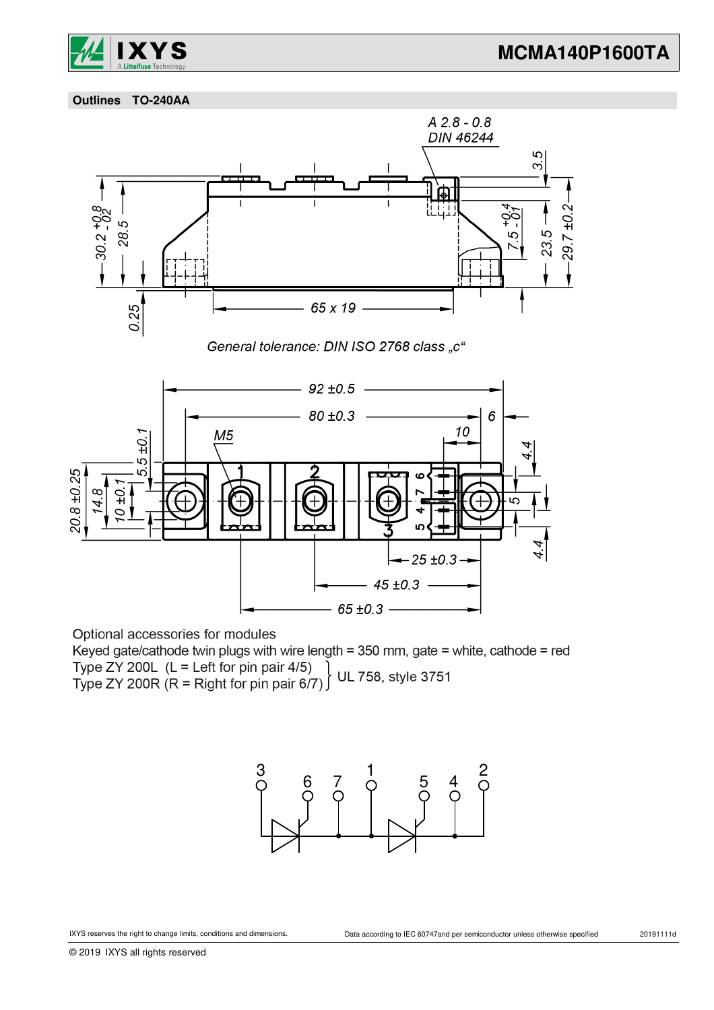

 **Outlines TO-240AA**



Optional accessories for modules

Keyed gate/cathode twin plugs with wire length = 350 mm, gate = white, cathode = red Type ZY 200L (L = Left for pin pair 4/5)<br>Type ZY 200R (R = Right for pin pair 6/7) UL 758, style 3751